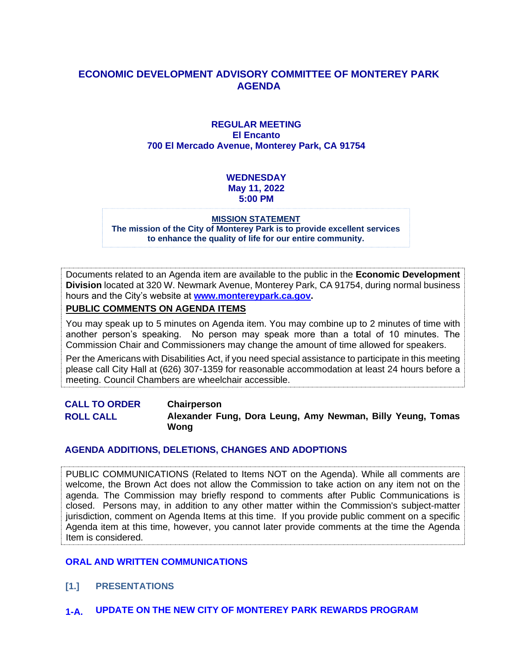#### **ECONOMIC DEVELOPMENT ADVISORY COMMITTEE OF MONTEREY PARK AGENDA**

#### **REGULAR MEETING El Encanto 700 El Mercado Avenue, Monterey Park, CA 91754**

#### **WEDNESDAY May 11, 2022 5:00 PM**

#### **MISSION STATEMENT**

**The mission of the City of Monterey Park is to provide excellent services to enhance the quality of life for our entire community.**

Documents related to an Agenda item are available to the public in the **Economic Development Division** located at 320 W. Newmark Avenue, Monterey Park, CA 91754, during normal business hours and the City's website at **[www.montereypark.ca.gov.](http://www.montereypark.ca.gov/)** 

#### **PUBLIC COMMENTS ON AGENDA ITEMS**

You may speak up to 5 minutes on Agenda item. You may combine up to 2 minutes of time with another person's speaking. No person may speak more than a total of 10 minutes. The Commission Chair and Commissioners may change the amount of time allowed for speakers.

Per the Americans with Disabilities Act, if you need special assistance to participate in this meeting please call City Hall at (626) 307-1359 for reasonable accommodation at least 24 hours before a meeting. Council Chambers are wheelchair accessible.

**CALL TO ORDER Chairperson ROLL CALL Alexander Fung, Dora Leung, Amy Newman, Billy Yeung, Tomas Wong**

#### **AGENDA ADDITIONS, DELETIONS, CHANGES AND ADOPTIONS**

PUBLIC COMMUNICATIONS (Related to Items NOT on the Agenda). While all comments are welcome, the Brown Act does not allow the Commission to take action on any item not on the agenda. The Commission may briefly respond to comments after Public Communications is closed. Persons may, in addition to any other matter within the Commission's subject-matter jurisdiction, comment on Agenda Items at this time. If you provide public comment on a specific Agenda item at this time, however, you cannot later provide comments at the time the Agenda Item is considered.

#### **ORAL AND WRITTEN COMMUNICATIONS**

- **[1.] PRESENTATIONS**
- **1-A. UPDATE ON THE NEW CITY OF MONTEREY PARK REWARDS PROGRAM**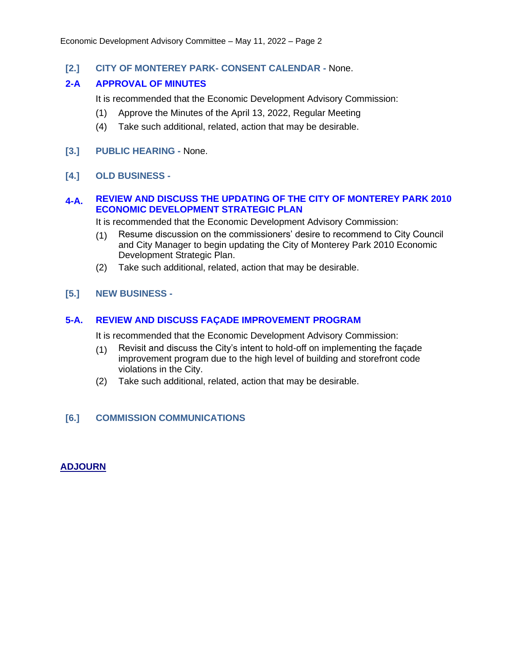**[2.] CITY OF MONTEREY PARK- CONSENT CALENDAR -** None.

#### **2-A APPROVAL OF MINUTES**

It is recommended that the Economic Development Advisory Commission:

- (1) Approve the Minutes of the April 13, 2022, Regular Meeting
- (4) Take such additional, related, action that may be desirable.
- **[3.] PUBLIC HEARING -** None.
- **[4.] OLD BUSINESS -**

#### **4-A. REVIEW AND DISCUSS THE UPDATING OF THE CITY OF MONTEREY PARK 2010 ECONOMIC DEVELOPMENT STRATEGIC PLAN**

It is recommended that the Economic Development Advisory Commission:

- (1) Resume discussion on the commissioners' desire to recommend to City Council and City Manager to begin updating the City of Monterey Park 2010 Economic Development Strategic Plan.
- (2) Take such additional, related, action that may be desirable.

#### **[5.] NEW BUSINESS -**

#### **5-A. REVIEW AND DISCUSS FAÇADE IMPROVEMENT PROGRAM**

It is recommended that the Economic Development Advisory Commission:

- (1) Revisit and discuss the City's intent to hold-off on implementing the façade improvement program due to the high level of building and storefront code violations in the City.
- (2) Take such additional, related, action that may be desirable.

#### **[6.] COMMISSION COMMUNICATIONS**

#### **ADJOURN**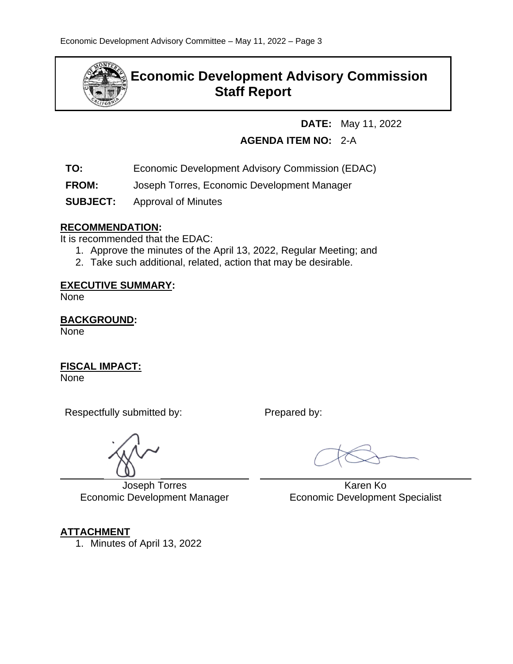

## **Economic Development Advisory Commission Staff Report**

**DATE:** May 11, 2022

## **AGENDA ITEM NO:** 2-A

- **TO:** Economic Development Advisory Commission (EDAC)
- **FROM:** Joseph Torres, Economic Development Manager
- **SUBJECT:** Approval of Minutes

#### **RECOMMENDATION:**

It is recommended that the EDAC:

- 1. Approve the minutes of the April 13, 2022, Regular Meeting; and
- 2. Take such additional, related, action that may be desirable.

#### **EXECUTIVE SUMMARY:**

None

**BACKGROUND:** None

**FISCAL IMPACT:**

**None** 

 $\overline{a}$ 

Respectfully submitted by: Prepared by:

Joseph Torres Economic Development Manager

## **ATTACHMENT**

1. Minutes of April 13, 2022

 Karen Ko Economic Development Specialist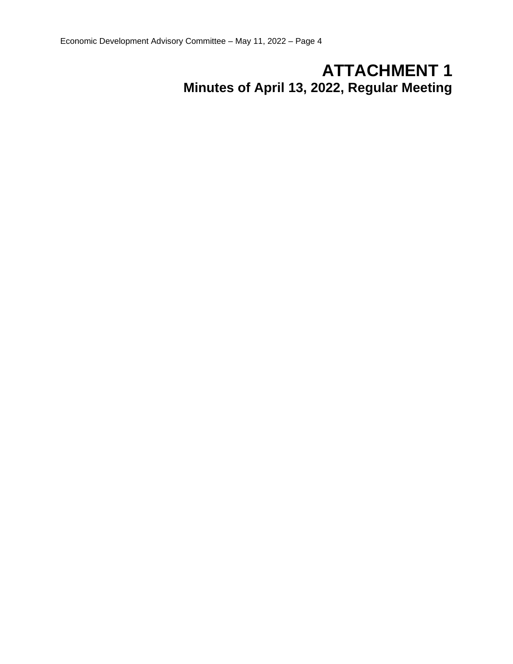# **ATTACHMENT 1 Minutes of April 13, 2022, Regular Meeting**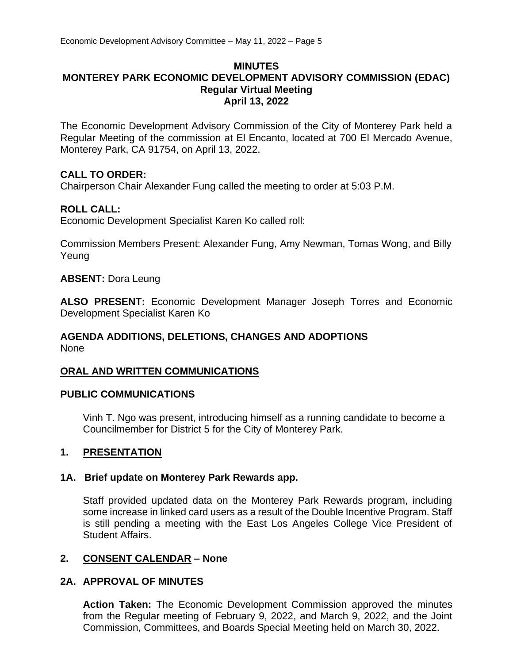#### **MINUTES MONTEREY PARK ECONOMIC DEVELOPMENT ADVISORY COMMISSION (EDAC) Regular Virtual Meeting April 13, 2022**

The Economic Development Advisory Commission of the City of Monterey Park held a Regular Meeting of the commission at El Encanto, located at 700 El Mercado Avenue, Monterey Park, CA 91754, on April 13, 2022.

#### **CALL TO ORDER:**

Chairperson Chair Alexander Fung called the meeting to order at 5:03 P.M.

#### **ROLL CALL:**

Economic Development Specialist Karen Ko called roll:

Commission Members Present: Alexander Fung, Amy Newman, Tomas Wong, and Billy Yeung

#### **ABSENT:** Dora Leung

**ALSO PRESENT:** Economic Development Manager Joseph Torres and Economic Development Specialist Karen Ko

#### **AGENDA ADDITIONS, DELETIONS, CHANGES AND ADOPTIONS** None

#### **ORAL AND WRITTEN COMMUNICATIONS**

#### **PUBLIC COMMUNICATIONS**

Vinh T. Ngo was present, introducing himself as a running candidate to become a Councilmember for District 5 for the City of Monterey Park.

#### **1. PRESENTATION**

#### **1A. Brief update on Monterey Park Rewards app.**

Staff provided updated data on the Monterey Park Rewards program, including some increase in linked card users as a result of the Double Incentive Program. Staff is still pending a meeting with the East Los Angeles College Vice President of Student Affairs.

#### **2. CONSENT CALENDAR – None**

#### **2A. APPROVAL OF MINUTES**

**Action Taken:** The Economic Development Commission approved the minutes from the Regular meeting of February 9, 2022, and March 9, 2022, and the Joint Commission, Committees, and Boards Special Meeting held on March 30, 2022.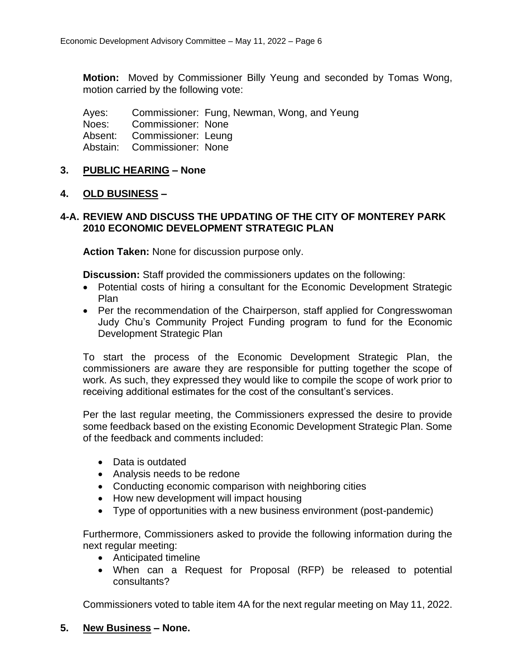**Motion:** Moved by Commissioner Billy Yeung and seconded by Tomas Wong, motion carried by the following vote:

Ayes: Commissioner: Fung, Newman, Wong, and Yeung

Noes: Commissioner: None

Absent: Commissioner: Leung

Abstain: Commissioner: None

#### **3. PUBLIC HEARING – None**

#### **4. OLD BUSINESS –**

#### **4-A. REVIEW AND DISCUSS THE UPDATING OF THE CITY OF MONTEREY PARK 2010 ECONOMIC DEVELOPMENT STRATEGIC PLAN**

**Action Taken:** None for discussion purpose only.

**Discussion:** Staff provided the commissioners updates on the following:

- Potential costs of hiring a consultant for the Economic Development Strategic Plan
- Per the recommendation of the Chairperson, staff applied for Congresswoman Judy Chu's Community Project Funding program to fund for the Economic Development Strategic Plan

To start the process of the Economic Development Strategic Plan, the commissioners are aware they are responsible for putting together the scope of work. As such, they expressed they would like to compile the scope of work prior to receiving additional estimates for the cost of the consultant's services.

Per the last regular meeting, the Commissioners expressed the desire to provide some feedback based on the existing Economic Development Strategic Plan. Some of the feedback and comments included:

- Data is outdated
- Analysis needs to be redone
- Conducting economic comparison with neighboring cities
- How new development will impact housing
- Type of opportunities with a new business environment (post-pandemic)

Furthermore, Commissioners asked to provide the following information during the next regular meeting:

- Anticipated timeline
- When can a Request for Proposal (RFP) be released to potential consultants?

Commissioners voted to table item 4A for the next regular meeting on May 11, 2022.

#### **5. New Business – None.**